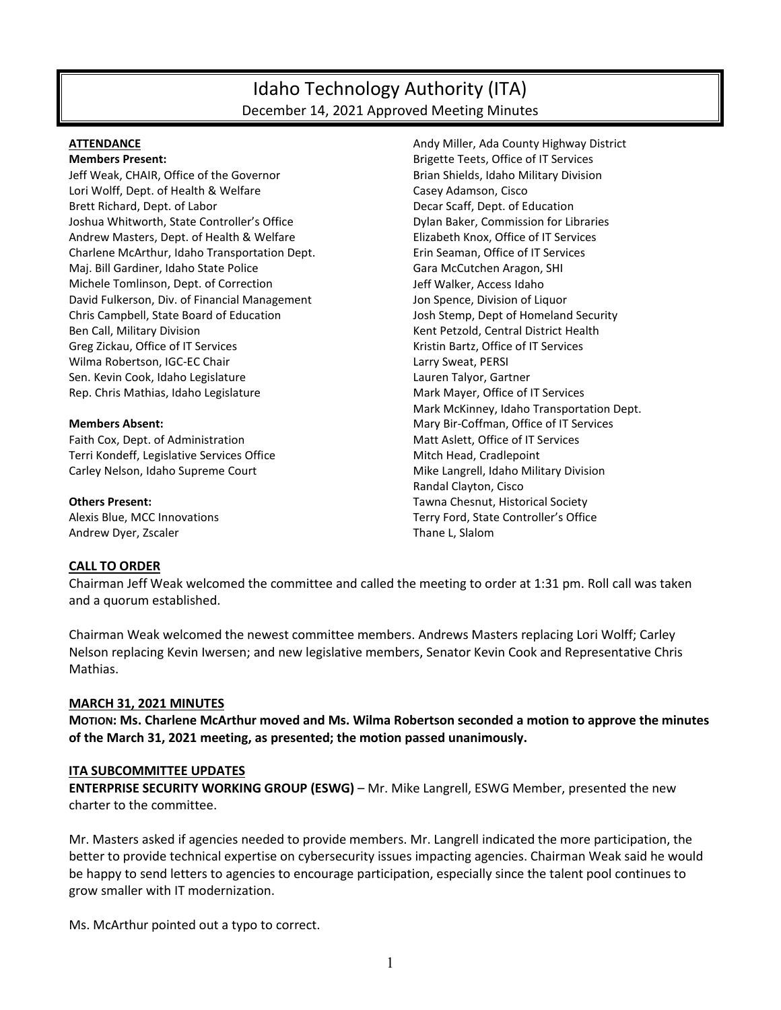# Idaho Technology Authority (ITA) December 14, 2021 Approved Meeting Minutes

#### **ATTENDANCE**

**Members Present:**

Jeff Weak, CHAIR, Office of the Governor Lori Wolff, Dept. of Health & Welfare Brett Richard, Dept. of Labor Joshua Whitworth, State Controller's Office Andrew Masters, Dept. of Health & Welfare Charlene McArthur, Idaho Transportation Dept. Maj. Bill Gardiner, Idaho State Police Michele Tomlinson, Dept. of Correction David Fulkerson, Div. of Financial Management Chris Campbell, State Board of Education Ben Call, Military Division Greg Zickau, Office of IT Services Wilma Robertson, IGC-EC Chair Sen. Kevin Cook, Idaho Legislature Rep. Chris Mathias, Idaho Legislature

#### **Members Absent:**

Faith Cox, Dept. of Administration Terri Kondeff, Legislative Services Office Carley Nelson, Idaho Supreme Court

**Others Present:** Alexis Blue, MCC Innovations Andrew Dyer, Zscaler

Andy Miller, Ada County Highway District Brigette Teets, Office of IT Services Brian Shields, Idaho Military Division Casey Adamson, Cisco Decar Scaff, Dept. of Education Dylan Baker, Commission for Libraries Elizabeth Knox, Office of IT Services Erin Seaman, Office of IT Services Gara McCutchen Aragon, SHI Jeff Walker, Access Idaho Jon Spence, Division of Liquor Josh Stemp, Dept of Homeland Security Kent Petzold, Central District Health Kristin Bartz, Office of IT Services Larry Sweat, PERSI Lauren Talyor, Gartner Mark Mayer, Office of IT Services Mark McKinney, Idaho Transportation Dept. Mary Bir-Coffman, Office of IT Services Matt Aslett, Office of IT Services Mitch Head, Cradlepoint Mike Langrell, Idaho Military Division Randal Clayton, Cisco Tawna Chesnut, Historical Society Terry Ford, State Controller's Office Thane L, Slalom

#### **CALL TO ORDER**

Chairman Jeff Weak welcomed the committee and called the meeting to order at 1:31 pm. Roll call was taken and a quorum established.

Chairman Weak welcomed the newest committee members. Andrews Masters replacing Lori Wolff; Carley Nelson replacing Kevin Iwersen; and new legislative members, Senator Kevin Cook and Representative Chris Mathias.

#### **MARCH 31, 2021 MINUTES**

**MOTION: Ms. Charlene McArthur moved and Ms. Wilma Robertson seconded a motion to approve the minutes of the March 31, 2021 meeting, as presented; the motion passed unanimously.**

### **ITA SUBCOMMITTEE UPDATES**

**ENTERPRISE SECURITY WORKING GROUP (ESWG)** – Mr. Mike Langrell, ESWG Member, presented the new charter to the committee.

Mr. Masters asked if agencies needed to provide members. Mr. Langrell indicated the more participation, the better to provide technical expertise on cybersecurity issues impacting agencies. Chairman Weak said he would be happy to send letters to agencies to encourage participation, especially since the talent pool continues to grow smaller with IT modernization.

Ms. McArthur pointed out a typo to correct.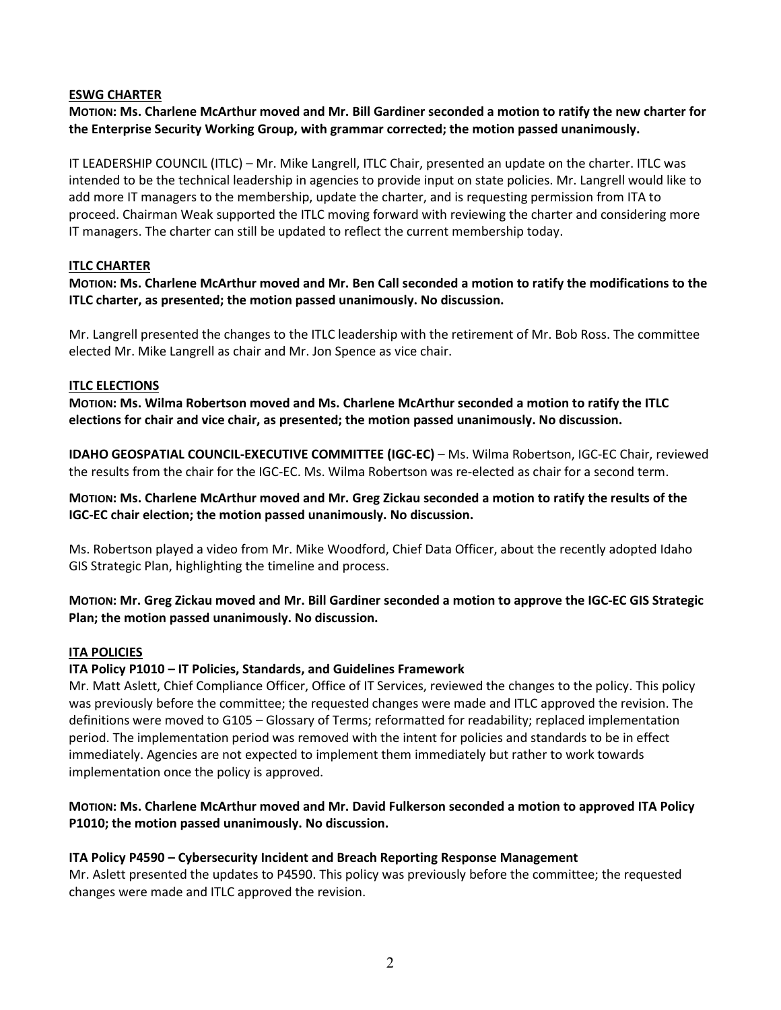## **ESWG CHARTER**

**MOTION: Ms. Charlene McArthur moved and Mr. Bill Gardiner seconded a motion to ratify the new charter for the Enterprise Security Working Group, with grammar corrected; the motion passed unanimously.**

IT LEADERSHIP COUNCIL (ITLC) – Mr. Mike Langrell, ITLC Chair, presented an update on the charter. ITLC was intended to be the technical leadership in agencies to provide input on state policies. Mr. Langrell would like to add more IT managers to the membership, update the charter, and is requesting permission from ITA to proceed. Chairman Weak supported the ITLC moving forward with reviewing the charter and considering more IT managers. The charter can still be updated to reflect the current membership today.

# **ITLC CHARTER**

**MOTION: Ms. Charlene McArthur moved and Mr. Ben Call seconded a motion to ratify the modifications to the ITLC charter, as presented; the motion passed unanimously. No discussion.**

Mr. Langrell presented the changes to the ITLC leadership with the retirement of Mr. Bob Ross. The committee elected Mr. Mike Langrell as chair and Mr. Jon Spence as vice chair.

## **ITLC ELECTIONS**

**MOTION: Ms. Wilma Robertson moved and Ms. Charlene McArthur seconded a motion to ratify the ITLC elections for chair and vice chair, as presented; the motion passed unanimously. No discussion.**

**IDAHO GEOSPATIAL COUNCIL-EXECUTIVE COMMITTEE (IGC-EC)** – Ms. Wilma Robertson, IGC-EC Chair, reviewed the results from the chair for the IGC-EC. Ms. Wilma Robertson was re-elected as chair for a second term.

**MOTION: Ms. Charlene McArthur moved and Mr. Greg Zickau seconded a motion to ratify the results of the IGC-EC chair election; the motion passed unanimously. No discussion.**

Ms. Robertson played a video from Mr. Mike Woodford, Chief Data Officer, about the recently adopted Idaho GIS Strategic Plan, highlighting the timeline and process.

**MOTION: Mr. Greg Zickau moved and Mr. Bill Gardiner seconded a motion to approve the IGC-EC GIS Strategic Plan; the motion passed unanimously. No discussion.**

## **ITA POLICIES**

## **ITA Policy P1010 – IT Policies, Standards, and Guidelines Framework**

Mr. Matt Aslett, Chief Compliance Officer, Office of IT Services, reviewed the changes to the policy. This policy was previously before the committee; the requested changes were made and ITLC approved the revision. The definitions were moved to G105 – Glossary of Terms; reformatted for readability; replaced implementation period. The implementation period was removed with the intent for policies and standards to be in effect immediately. Agencies are not expected to implement them immediately but rather to work towards implementation once the policy is approved.

# **MOTION: Ms. Charlene McArthur moved and Mr. David Fulkerson seconded a motion to approved ITA Policy P1010; the motion passed unanimously. No discussion.**

## **ITA Policy P4590 – Cybersecurity Incident and Breach Reporting Response Management**

Mr. Aslett presented the updates to P4590. This policy was previously before the committee; the requested changes were made and ITLC approved the revision.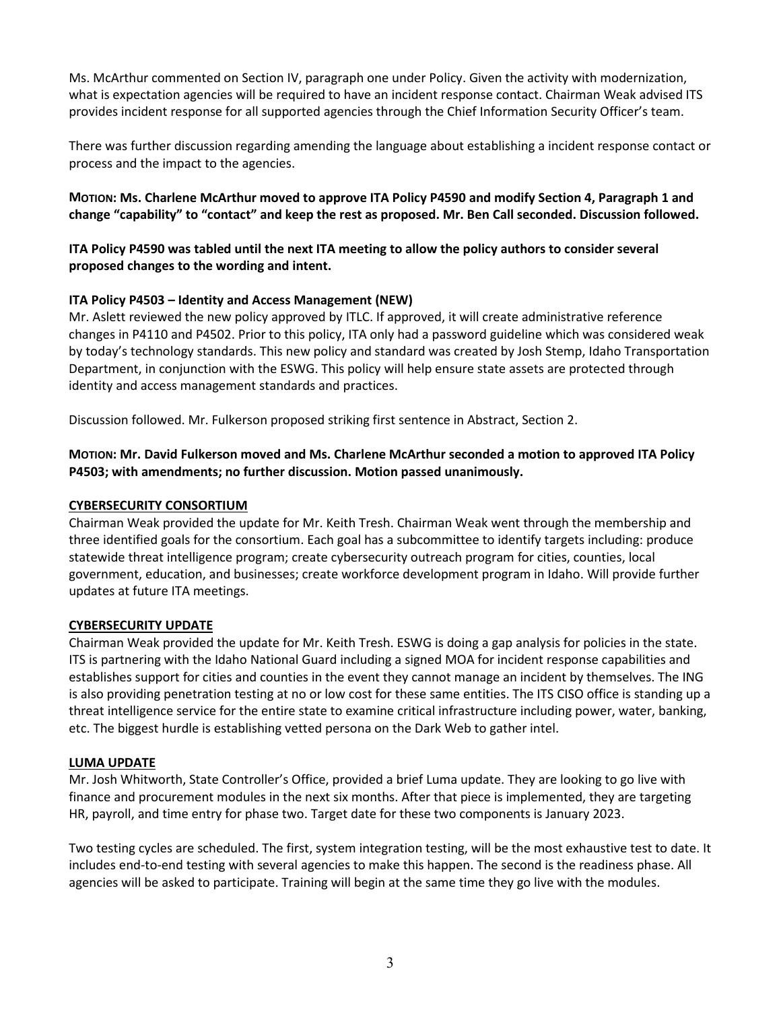Ms. McArthur commented on Section IV, paragraph one under Policy. Given the activity with modernization, what is expectation agencies will be required to have an incident response contact. Chairman Weak advised ITS provides incident response for all supported agencies through the Chief Information Security Officer's team.

There was further discussion regarding amending the language about establishing a incident response contact or process and the impact to the agencies.

**MOTION: Ms. Charlene McArthur moved to approve ITA Policy P4590 and modify Section 4, Paragraph 1 and change "capability" to "contact" and keep the rest as proposed. Mr. Ben Call seconded. Discussion followed.** 

**ITA Policy P4590 was tabled until the next ITA meeting to allow the policy authors to consider several proposed changes to the wording and intent.**

## **ITA Policy P4503 – Identity and Access Management (NEW)**

Mr. Aslett reviewed the new policy approved by ITLC. If approved, it will create administrative reference changes in P4110 and P4502. Prior to this policy, ITA only had a password guideline which was considered weak by today's technology standards. This new policy and standard was created by Josh Stemp, Idaho Transportation Department, in conjunction with the ESWG. This policy will help ensure state assets are protected through identity and access management standards and practices.

Discussion followed. Mr. Fulkerson proposed striking first sentence in Abstract, Section 2.

# **MOTION: Mr. David Fulkerson moved and Ms. Charlene McArthur seconded a motion to approved ITA Policy P4503; with amendments; no further discussion. Motion passed unanimously.**

## **CYBERSECURITY CONSORTIUM**

Chairman Weak provided the update for Mr. Keith Tresh. Chairman Weak went through the membership and three identified goals for the consortium. Each goal has a subcommittee to identify targets including: produce statewide threat intelligence program; create cybersecurity outreach program for cities, counties, local government, education, and businesses; create workforce development program in Idaho. Will provide further updates at future ITA meetings.

## **CYBERSECURITY UPDATE**

Chairman Weak provided the update for Mr. Keith Tresh. ESWG is doing a gap analysis for policies in the state. ITS is partnering with the Idaho National Guard including a signed MOA for incident response capabilities and establishes support for cities and counties in the event they cannot manage an incident by themselves. The ING is also providing penetration testing at no or low cost for these same entities. The ITS CISO office is standing up a threat intelligence service for the entire state to examine critical infrastructure including power, water, banking, etc. The biggest hurdle is establishing vetted persona on the Dark Web to gather intel.

#### **LUMA UPDATE**

Mr. Josh Whitworth, State Controller's Office, provided a brief Luma update. They are looking to go live with finance and procurement modules in the next six months. After that piece is implemented, they are targeting HR, payroll, and time entry for phase two. Target date for these two components is January 2023.

Two testing cycles are scheduled. The first, system integration testing, will be the most exhaustive test to date. It includes end-to-end testing with several agencies to make this happen. The second is the readiness phase. All agencies will be asked to participate. Training will begin at the same time they go live with the modules.